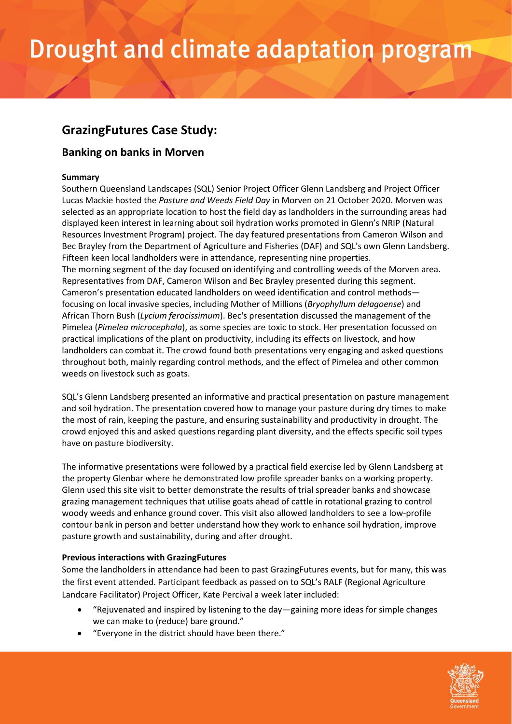### **GrazingFutures Case Study:**

### **Banking on banks in Morven**

#### **Summary**

Southern Queensland Landscapes (SQL) Senior Project Officer Glenn Landsberg and Project Officer Lucas Mackie hosted the *Pasture and Weeds Field Day* in Morven on 21 October 2020. Morven was selected as an appropriate location to host the field day as landholders in the surrounding areas had displayed keen interest in learning about soil hydration works promoted in Glenn's NRIP (Natural Resources Investment Program) project. The day featured presentations from Cameron Wilson and Bec Brayley from the Department of Agriculture and Fisheries (DAF) and SQL's own Glenn Landsberg. Fifteen keen local landholders were in attendance, representing nine properties. The morning segment of the day focused on identifying and controlling weeds of the Morven area. Representatives from DAF, Cameron Wilson and Bec Brayley presented during this segment. Cameron's presentation educated landholders on weed identification and control methods focusing on local invasive species, including Mother of Millions (*Bryophyllum delagoense*) and African Thorn Bush (*Lycium ferocissimum*). Bec's presentation discussed the management of the Pimelea (*Pimelea microcephala*), as some species are toxic to stock. Her presentation focussed on practical implications of the plant on productivity, including its effects on livestock, and how landholders can combat it. The crowd found both presentations very engaging and asked questions throughout both, mainly regarding control methods, and the effect of Pimelea and other common weeds on livestock such as goats.

SQL's Glenn Landsberg presented an informative and practical presentation on pasture management and soil hydration. The presentation covered how to manage your pasture during dry times to make the most of rain, keeping the pasture, and ensuring sustainability and productivity in drought. The crowd enjoyed this and asked questions regarding plant diversity, and the effects specific soil types have on pasture biodiversity.

The informative presentations were followed by a practical field exercise led by Glenn Landsberg at the property Glenbar where he demonstrated low profile spreader banks on a working property. Glenn used this site visit to better demonstrate the results of trial spreader banks and showcase grazing management techniques that utilise goats ahead of cattle in rotational grazing to control woody weeds and enhance ground cover. This visit also allowed landholders to see a low-profile contour bank in person and better understand how they work to enhance soil hydration, improve pasture growth and sustainability, during and after drought.

#### **Previous interactions with GrazingFutures**

Some the landholders in attendance had been to past GrazingFutures events, but for many, this was the first event attended. Participant feedback as passed on to SQL's RALF (Regional Agriculture Landcare Facilitator) Project Officer, Kate Percival a week later included:

- "Rejuvenated and inspired by listening to the day—gaining more ideas for simple changes we can make to (reduce) bare ground."
- "Everyone in the district should have been there."

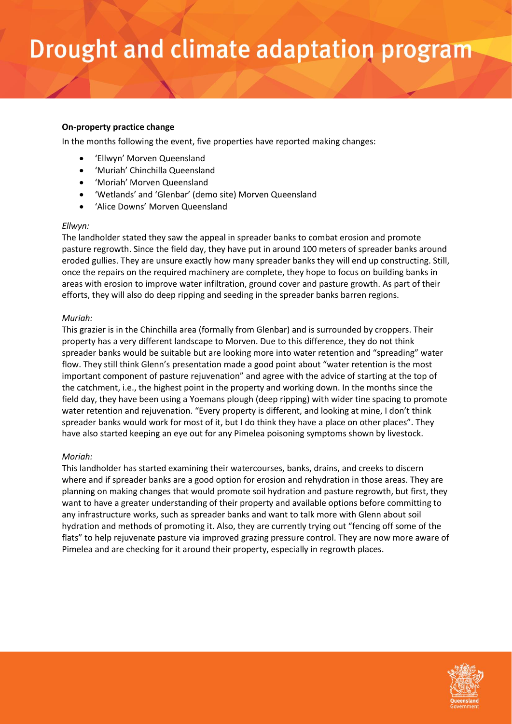#### **On-property practice change**

In the months following the event, five properties have reported making changes:

- 'Ellwyn' Morven Queensland
- 'Muriah' Chinchilla Queensland
- 'Moriah' Morven Queensland
- 'Wetlands' and 'Glenbar' (demo site) Morven Queensland
- 'Alice Downs' Morven Queensland

#### *Ellwyn:*

The landholder stated they saw the appeal in spreader banks to combat erosion and promote pasture regrowth. Since the field day, they have put in around 100 meters of spreader banks around eroded gullies. They are unsure exactly how many spreader banks they will end up constructing. Still, once the repairs on the required machinery are complete, they hope to focus on building banks in areas with erosion to improve water infiltration, ground cover and pasture growth. As part of their efforts, they will also do deep ripping and seeding in the spreader banks barren regions.

#### *Muriah:*

This grazier is in the Chinchilla area (formally from Glenbar) and is surrounded by croppers. Their property has a very different landscape to Morven. Due to this difference, they do not think spreader banks would be suitable but are looking more into water retention and "spreading" water flow. They still think Glenn's presentation made a good point about "water retention is the most important component of pasture rejuvenation" and agree with the advice of starting at the top of the catchment, i.e., the highest point in the property and working down. In the months since the field day, they have been using a Yoemans plough (deep ripping) with wider tine spacing to promote water retention and rejuvenation. "Every property is different, and looking at mine, I don't think spreader banks would work for most of it, but I do think they have a place on other places". They have also started keeping an eye out for any Pimelea poisoning symptoms shown by livestock.

#### *Moriah:*

This landholder has started examining their watercourses, banks, drains, and creeks to discern where and if spreader banks are a good option for erosion and rehydration in those areas. They are planning on making changes that would promote soil hydration and pasture regrowth, but first, they want to have a greater understanding of their property and available options before committing to any infrastructure works, such as spreader banks and want to talk more with Glenn about soil hydration and methods of promoting it. Also, they are currently trying out "fencing off some of the flats" to help rejuvenate pasture via improved grazing pressure control. They are now more aware of Pimelea and are checking for it around their property, especially in regrowth places.

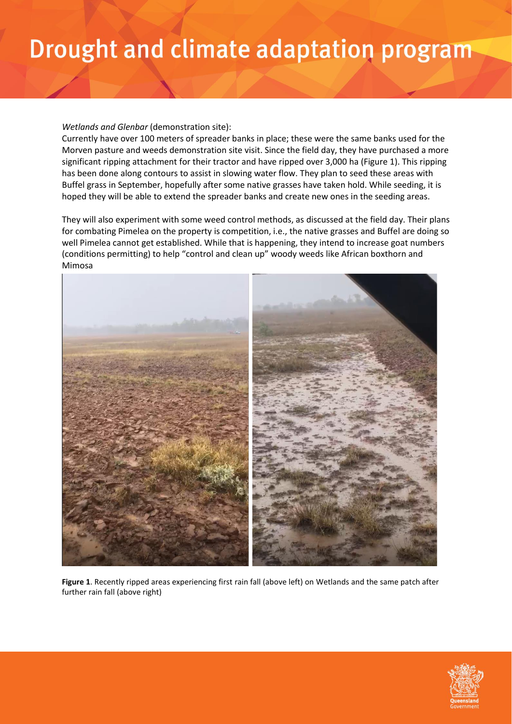#### *Wetlands and Glenbar* (demonstration site):

Currently have over 100 meters of spreader banks in place; these were the same banks used for the Morven pasture and weeds demonstration site visit. Since the field day, they have purchased a more significant ripping attachment for their tractor and have ripped over 3,000 ha (Figure 1). This ripping has been done along contours to assist in slowing water flow. They plan to seed these areas with Buffel grass in September, hopefully after some native grasses have taken hold. While seeding, it is hoped they will be able to extend the spreader banks and create new ones in the seeding areas.

They will also experiment with some weed control methods, as discussed at the field day. Their plans for combating Pimelea on the property is competition, i.e., the native grasses and Buffel are doing so well Pimelea cannot get established. While that is happening, they intend to increase goat numbers (conditions permitting) to help "control and clean up" woody weeds like African boxthorn and Mimosa



**Figure 1**. Recently ripped areas experiencing first rain fall (above left) on Wetlands and the same patch after further rain fall (above right)